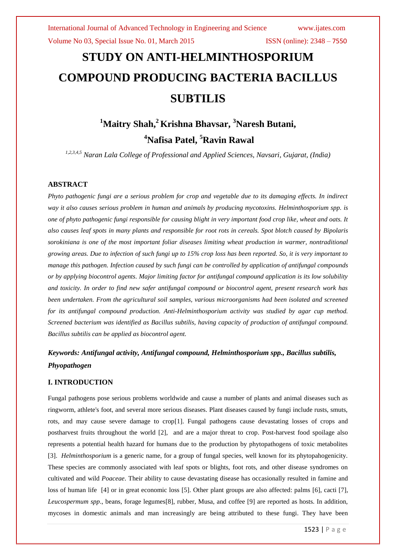# **STUDY ON ANTI-HELMINTHOSPORIUM COMPOUND PRODUCING BACTERIA BACILLUS SUBTILIS**

## **<sup>1</sup>Maitry Shah,<sup>2</sup> Krishna Bhavsar, <sup>3</sup>Naresh Butani, <sup>4</sup>Nafisa Patel, <sup>5</sup>Ravin Rawal**

*1,2,3,4,5 Naran Lala College of Professional and Applied Sciences, Navsari, Gujarat, (India)*

### **ABSTRACT**

*Phyto pathogenic fungi are a serious problem for crop and vegetable due to its damaging effects. In indirect way it also causes serious problem in human and animals by producing mycotoxins. Helminthosporium spp. is one of phyto pathogenic fungi responsible for causing blight in very important food crop like, wheat and oats. It also causes leaf spots in many plants and responsible for root rots in cereals. Spot blotch caused by Bipolaris sorokiniana is one of the most important foliar diseases limiting wheat production in warmer, nontraditional growing areas. Due to infection of such fungi up to 15% crop loss has been reported. So, it is very important to manage this pathogen. Infection caused by such fungi can be controlled by application of antifungal compounds or by applying biocontrol agents. Major limiting factor for antifungal compound application is its low solubility and toxicity. In order to find new safer antifungal compound or biocontrol agent, present research work has been undertaken. From the agricultural soil samples, various microorganisms had been isolated and screened for its antifungal compound production. Anti-Helminthosporium activity was studied by agar cup method. Screened bacterium was identified as Bacillus subtilis, having capacity of production of antifungal compound. Bacillus subtilis can be applied as biocontrol agent.*

### *Keywords: Antifungal activity, Antifungal compound, Helminthosporium spp., Bacillus subtilis, Phyopathogen*

### **I. INTRODUCTION**

Fungal pathogens pose serious problems worldwide and cause a number of plants and animal diseases such as ringworm, athlete's foot, and several more serious diseases. Plant diseases caused by fungi include rusts, smuts, rots, and may cause severe damage to crop[\[1\]](#page-4-0). Fungal pathogens cause devastating losses of crops and postharvest fruits throughout the world [\[2\]](#page-4-1), and are a major threat to crop. Post-harvest food spoilage also represents a potential health hazard for humans due to the production by phytopathogens of toxic metabolites [\[3\]](#page-4-2). *Helminthosporium* is a generic name, for a group of fungal species, well known for its phytopahogenicity. These species are commonly associated with leaf spots or blights, foot rots, and other disease syndromes on cultivated and wild *Poaceae*. Their ability to cause devastating disease has occasionally resulted in famine and loss of human life [\[4\]](#page-4-3) or in great economic loss [\[5\]](#page-4-4). Other plant groups are also affected: palms [\[6\]](#page-4-5), cacti [\[7\]](#page-4-6), *Leucospermum spp*., beans, forage legumes[\[8\]](#page-4-7), rubber, Musa, and coffee [\[9\]](#page-4-8) are reported as hosts. In addition, mycoses in domestic animals and man increasingly are being attributed to these fungi. They have been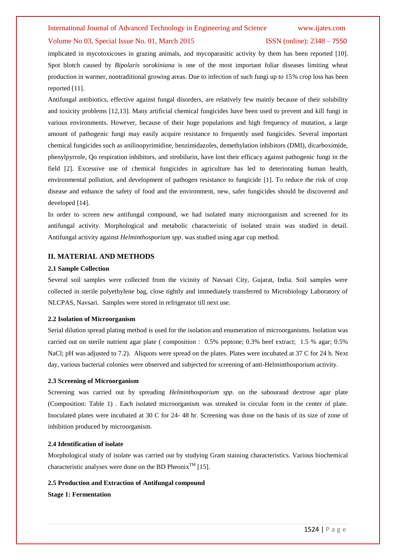### International Journal of Advanced Technology in Engineering and Science www.ijates.com

### Volume No 03, Special Issue No. 01, March 2015 ISSN (online): 2348 – 7550

implicated in mycotoxicoses in grazing animals, and mycoparasitic activity by them has been reported [\[10\]](#page-4-9). Spot blotch caused by *Bipolaris sorokiniana* is one of the most important foliar diseases limiting wheat production in warmer, nontraditional growing areas. Due to infection of such fungi up to 15% crop loss has been reported [\[11\]](#page-4-10).

Antifungal antibiotics, effective against fungal disorders, are relatively few mainly because of their solubility and toxicity problems [\[12,](#page-4-11)[13\]](#page-4-12). Many artificial chemical fungicides have been used to prevent and kill fungi in various environments. However, because of their huge populations and high frequency of mutation, a large amount of pathogenic fungi may easily acquire resistance to frequently used fungicides. Several important chemical fungicides such as anilinopyrimidine, benzimidazoles, demethylation inhibitors (DMI), dicarboximide, phenylpyrrole, Qo respiration inhibitors, and strobilurin, have lost their efficacy against pathogenic fungi in the field [\[2\]](#page-4-1). Excessive use of chemical fungicides in agriculture has led to deteriorating human health, environmental pollution, and development of pathogen resistance to fungicide [\[1\]](#page-4-0). To reduce the risk of crop disease and enhance the safety of food and the environment, new, safer fungicides should be discovered and developed [\[14\]](#page-4-13).

In order to screen new antifungal compound, we had isolated many microorganism and screened for its antifungal activity. Morphological and metabolic characteristic of isolated strain was studied in detail. Antifungal activity against *Helminthosporium spp*. was studied using agar cup method.

### **II. MATERIAL AND METHODS**

### **2.1 Sample Collection**

Several soil samples were collected from the vicinity of Navsari City, Gujarat, India. Soil samples were collected in sterile polyethylene bag, close tightly and immediately transferred to Microbiology Laboratory of NLCPAS, Navsari. Samples were stored in refrigerator till next use.

### **2.2 Isolation of Microorganism**

Serial dilution spread plating method is used for the isolation and enumeration of microorganisms. Isolation was carried out on sterile nutrient agar plate ( composition : 0.5% peptone; 0.3% beef extract; 1.5 % agar; 0.5% NaCl; pH was adjusted to 7.2). Aliquots were spread on the plates. Plates were incubated at 37 C for 24 h. Next day, various bacterial colonies were observed and subjected for screening of anti-Helminthosporium activity.

### **2.3 Screening of Microorganism**

Screening was carried out by spreading *Helminthosporium spp.* on the sabouraud dextrose agar plate (Composition: Table 1) . Each isolated microorganism was streaked in circular form in the center of plate. Inoculated plates were incubated at 30 C for 24- 48 hr. Screening was done on the basis of its size of zone of inhibition produced by microorganism.

### **2.4 Identification of isolate**

Morphological study of isolate was carried out by studying Gram staining characteristics. Various biochemical characteristic analyses were done on the BD Pheonix<sup>TM</sup> [\[15\]](#page-4-14).

**2.5 Production and Extraction of Antifungal compound**

**Stage 1: Fermentation**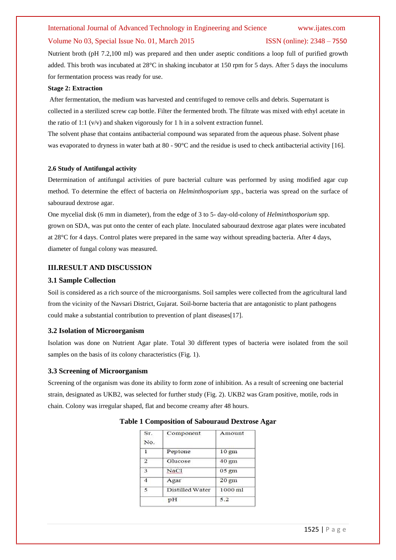### International Journal of Advanced Technology in Engineering and Science www.ijates.com

### Volume No 03, Special Issue No. 01, March 2015 ISSN (online): 2348 – 7550

Nutrient broth (pH 7.2,100 ml) was prepared and then under aseptic conditions a loop full of purified growth added. This broth was incubated at 28°C in shaking incubator at 150 rpm for 5 days. After 5 days the inoculums for fermentation process was ready for use.

### **Stage 2: Extraction**

After fermentation, the medium was harvested and centrifuged to remove cells and debris. Supernatant is collected in a sterilized screw cap bottle. Filter the fermented broth. The filtrate was mixed with ethyl acetate in the ratio of 1:1  $(v/v)$  and shaken vigorously for 1 h in a solvent extraction funnel.

The solvent phase that contains antibacterial compound was separated from the aqueous phase. Solvent phase was evaporated to dryness in water bath at 80 - 90°C and the residue is used to check antibacterial activity [\[16\]](#page-4-15).

### **2.6 Study of Antifungal activity**

Determination of antifungal activities of pure bacterial culture was performed by using modified agar cup method. To determine the effect of bacteria on *Helminthosporium spp*., bacteria was spread on the surface of sabouraud dextrose agar.

One mycelial disk (6 mm in diameter), from the edge of 3 to 5- day-old-colony of *Helminthosporium* spp. grown on SDA, was put onto the center of each plate. Inoculated sabouraud dextrose agar plates were incubated at 28°C for 4 days. Control plates were prepared in the same way without spreading bacteria. After 4 days, diameter of fungal colony was measured.

### **III.RESULT AND DISCUSSION**

### **3.1 Sample Collection**

Soil is considered as a rich source of the microorganisms. Soil samples were collected from the agricultural land from the vicinity of the Navsari District, Gujarat. Soil-borne bacteria that are antagonistic to plant pathogens could make a substantial contribution to prevention of plant diseases[\[17\]](#page-4-16).

### **3.2 Isolation of Microorganism**

Isolation was done on Nutrient Agar plate. Total 30 different types of bacteria were isolated from the soil samples on the basis of its colony characteristics (Fig. 1).

### **3.3 Screening of Microorganism**

Screening of the organism was done its ability to form zone of inhibition. As a result of screening one bacterial strain, designated as UKB2, was selected for further study (Fig. 2). UKB2 was Gram positive, motile, rods in chain. Colony was irregular shaped, flat and become creamy after 48 hours.

| Sr.<br>No.    | Component       | Amount           |
|---------------|-----------------|------------------|
|               |                 |                  |
|               | Peptone         | 10 <sub>gm</sub> |
| $\mathcal{I}$ | Glucose         | 40 gm            |
| 3             | NaCl            | $05 \text{ gm}$  |
|               | Agar            | 20 <sub>gm</sub> |
| 5             | Distilled Water | 1000 ml          |
| pH            |                 | 5.2              |

### **Table 1 Composition of Sabouraud Dextrose Agar**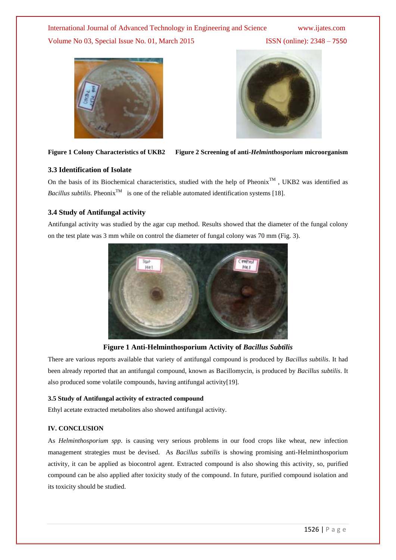International Journal of Advanced Technology in Engineering and Science www.ijates.com Volume No 03, Special Issue No. 01, March 2015 ISSN (online): 2348 – 7550





**Figure 1 Colony Characteristics of UKB2 Figure 2 Screening of anti-***Helminthosporium* **microorganism**

### **3.3 Identification of Isolate**

On the basis of its Biochemical characteristics, studied with the help of Pheonix<sup>TM</sup>, UKB2 was identified as *Bacillus subtilis*. Pheonix<sup>TM</sup> is one of the reliable automated identification systems [\[18\]](#page-4-17).

### **3.4 Study of Antifungal activity**

Antifungal activity was studied by the agar cup method. Results showed that the diameter of the fungal colony on the test plate was 3 mm while on control the diameter of fungal colony was 70 mm (Fig. 3).



**Figure 1 Anti-Helminthosporium Activity of** *Bacillus Subtilis*

There are various reports available that variety of antifungal compound is produced by *Bacillus subtilis*. It had been already reported that an antifungal compound, known as Bacillomycin, is produced by *Bacillus subtilis*. It also produced some volatile compounds, having antifungal activity[\[19\]](#page-4-18).

### **3.5 Study of Antifungal activity of extracted compound**

Ethyl acetate extracted metabolites also showed antifungal activity.

### **IV. CONCLUSION**

As *Helminthosporium spp*. is causing very serious problems in our food crops like wheat, new infection management strategies must be devised. As *Bacillus subtilis* is showing promising anti-Helminthosporium activity, it can be applied as biocontrol agent. Extracted compound is also showing this activity, so, purified compound can be also applied after toxicity study of the compound. In future, purified compound isolation and its toxicity should be studied.